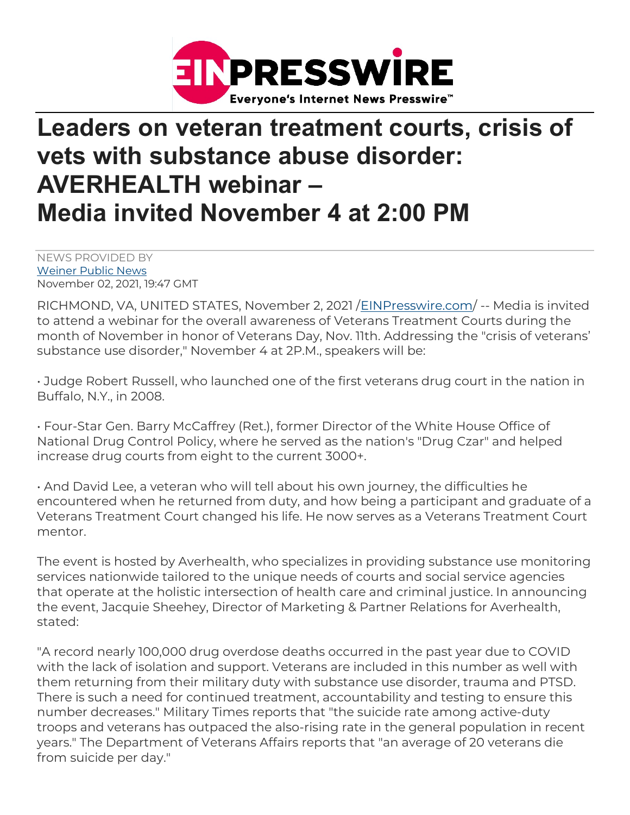

## Leaders on veteran treatment courts, crisis of vets with substance abuse disorder: AVERHEALTH webinar – Media invited November 4 at 2:00 PM

NEWS PROVIDED BY Weiner Public News November 02, 2021, 19:47 GMT

RICHMOND, VA, UNITED STATES, November 2, 2021 /EINPresswire.com/ -- Media is invited to attend a webinar for the overall awareness of Veterans Treatment Courts during the month of November in honor of Veterans Day, Nov. 11th. Addressing the "crisis of veterans' substance use disorder," November 4 at 2P.M., speakers will be:

• Judge Robert Russell, who launched one of the first veterans drug court in the nation in Buffalo, N.Y., in 2008.

• Four-Star Gen. Barry McCaffrey (Ret.), former Director of the White House Office of National Drug Control Policy, where he served as the nation's "Drug Czar" and helped increase drug courts from eight to the current 3000+.

• And David Lee, a veteran who will tell about his own journey, the difficulties he encountered when he returned from duty, and how being a participant and graduate of a Veterans Treatment Court changed his life. He now serves as a Veterans Treatment Court mentor.

The event is hosted by Averhealth, who specializes in providing substance use monitoring services nationwide tailored to the unique needs of courts and social service agencies that operate at the holistic intersection of health care and criminal justice. In announcing the event, Jacquie Sheehey, Director of Marketing & Partner Relations for Averhealth, stated:

"A record nearly 100,000 drug overdose deaths occurred in the past year due to COVID with the lack of isolation and support. Veterans are included in this number as well with them returning from their military duty with substance use disorder, trauma and PTSD. There is such a need for continued treatment, accountability and testing to ensure this number decreases." Military Times reports that "the suicide rate among active-duty troops and veterans has outpaced the also-rising rate in the general population in recent years." The Department of Veterans Affairs reports that "an average of 20 veterans die from suicide per day."